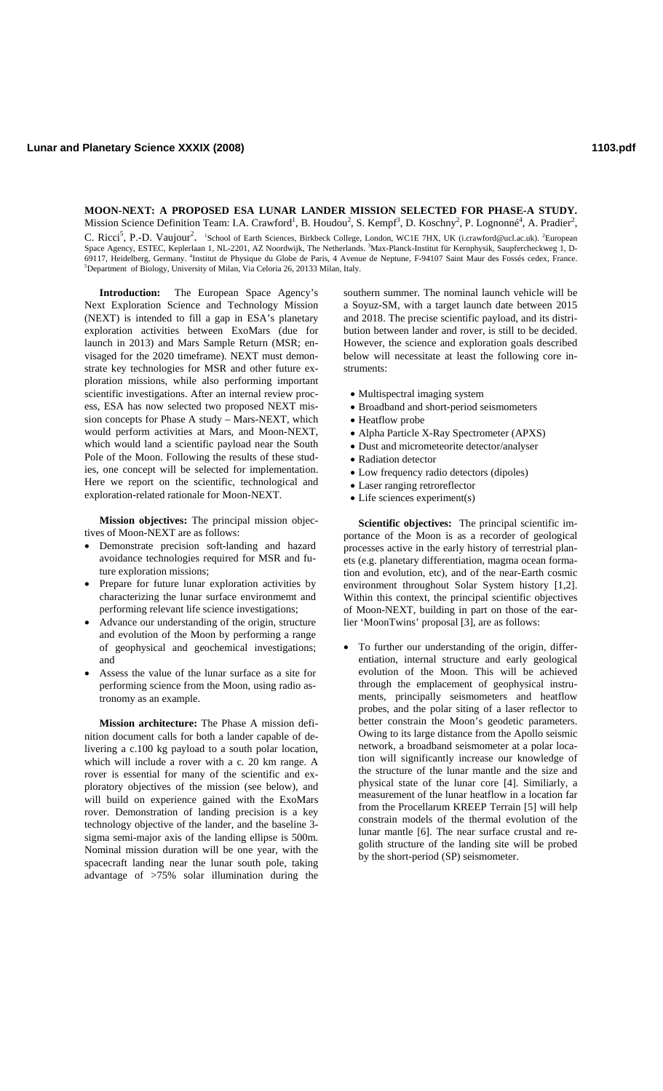## **MOON-NEXT: A PROPOSED ESA LUNAR LANDER MISSION SELECTED FOR PHASE-A STUDY.** Mission Science Definition Team: I.A. Crawford<sup>1</sup>, B. Houdou<sup>2</sup>, S. Kempf<sup>3</sup>, D. Koschny<sup>2</sup>, P. Lognonné<sup>4</sup>, A. Pradier<sup>2</sup>,

C. Ricci<sup>5</sup>, P.-D. Vaujour<sup>2</sup>. <sup>1</sup>School of Earth Sciences, Birkbeck College, London, WC1E 7HX, UK (i.crawford@ucl.ac.uk). <sup>2</sup>European Space Agency, ESTEC, Keplerlaan 1, NL-2201, AZ Noordwijk, The Netherlands. <sup>3</sup>Max-Planck-Institut für Kernphysik, Saupfercheckweg 1, D-69117, Heidelberg, Germany. <sup>4</sup>Institut de Physique du Globe de Paris, 4 Avenue de Neptune, F-94107 Saint Maur des Fossés cedex, France.<br><sup>5</sup>Donartment of Biology, University of Milen Vie Colorie 26, 20133 Milen Jtehn <sup>5</sup>Department of Biology, University of Milan, Via Celoria 26, 20133 Milan, Italy.

**Introduction:** The European Space Agency's Next Exploration Science and Technology Mission (NEXT) is intended to fill a gap in ESA's planetary exploration activities between ExoMars (due for launch in 2013) and Mars Sample Return (MSR; envisaged for the 2020 timeframe). NEXT must demonstrate key technologies for MSR and other future exploration missions, while also performing important scientific investigations. After an internal review process, ESA has now selected two proposed NEXT mission concepts for Phase A study – Mars-NEXT, which would perform activities at Mars, and Moon-NEXT, which would land a scientific payload near the South Pole of the Moon. Following the results of these studies, one concept will be selected for implementation. Here we report on the scientific, technological and exploration-related rationale for Moon-NEXT.

**Mission objectives:** The principal mission objectives of Moon-NEXT are as follows:

- Demonstrate precision soft-landing and hazard avoidance technologies required for MSR and future exploration missions;
- Prepare for future lunar exploration activities by characterizing the lunar surface environmemt and performing relevant life science investigations;
- Advance our understanding of the origin, structure and evolution of the Moon by performing a range of geophysical and geochemical investigations; and
- Assess the value of the lunar surface as a site for performing science from the Moon, using radio astronomy as an example.

**Mission architecture:** The Phase A mission definition document calls for both a lander capable of delivering a c.100 kg payload to a south polar location, which will include a rover with a c. 20 km range. A rover is essential for many of the scientific and exploratory objectives of the mission (see below), and will build on experience gained with the ExoMars rover. Demonstration of landing precision is a key technology objective of the lander, and the baseline 3 sigma semi-major axis of the landing ellipse is 500m. Nominal mission duration will be one year, with the spacecraft landing near the lunar south pole, taking advantage of >75% solar illumination during the

southern summer. The nominal launch vehicle will be a Soyuz-SM, with a target launch date between 2015 and 2018. The precise scientific payload, and its distribution between lander and rover, is still to be decided. However, the science and exploration goals described below will necessitate at least the following core instruments:

- Multispectral imaging system
- Broadband and short-period seismometers
- Heatflow probe
- Alpha Particle X-Ray Spectrometer (APXS)
- Dust and micrometeorite detector/analyser
- Radiation detector
- Low frequency radio detectors (dipoles)
- Laser ranging retroreflector
- Life sciences experiment(s)

**Scientific objectives:** The principal scientific importance of the Moon is as a recorder of geological processes active in the early history of terrestrial planets (e.g. planetary differentiation, magma ocean formation and evolution, etc), and of the near-Earth cosmic environment throughout Solar System history [1,2]. Within this context, the principal scientific objectives of Moon-NEXT, building in part on those of the earlier 'MoonTwins' proposal [3], are as follows:

To further our understanding of the origin, differentiation, internal structure and early geological evolution of the Moon. This will be achieved through the emplacement of geophysical instruments, principally seismometers and heatflow probes, and the polar siting of a laser reflector to better constrain the Moon's geodetic parameters. Owing to its large distance from the Apollo seismic network, a broadband seismometer at a polar location will significantly increase our knowledge of the structure of the lunar mantle and the size and physical state of the lunar core [4]. Similiarly, a measurement of the lunar heatflow in a location far from the Procellarum KREEP Terrain [5] will help constrain models of the thermal evolution of the lunar mantle [6]. The near surface crustal and regolith structure of the landing site will be probed by the short-period (SP) seismometer.